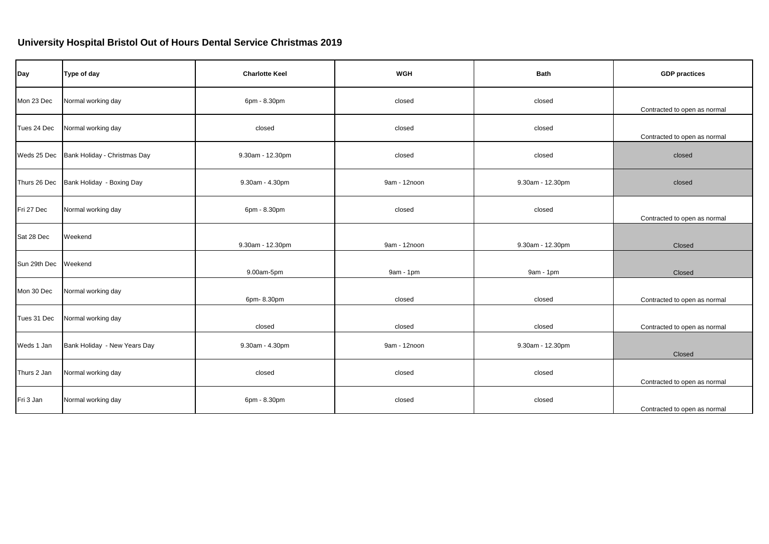## **University Hospital Bristol Out of Hours Dental Service Christmas 2019**

| Day          | Type of day                  | <b>Charlotte Keel</b> | <b>WGH</b>   | <b>Bath</b>      | <b>GDP</b> practices         |
|--------------|------------------------------|-----------------------|--------------|------------------|------------------------------|
| Mon 23 Dec   | Normal working day           | 6pm - 8.30pm          | closed       | closed           | Contracted to open as normal |
| Tues 24 Dec  | Normal working day           | closed                | closed       | closed           | Contracted to open as normal |
| Weds 25 Dec  | Bank Holiday - Christmas Day | 9.30am - 12.30pm      | closed       | closed           | closed                       |
| Thurs 26 Dec | Bank Holiday - Boxing Day    | 9.30am - 4.30pm       | 9am - 12noon | 9.30am - 12.30pm | closed                       |
| Fri 27 Dec   | Normal working day           | 6pm - 8.30pm          | closed       | closed           | Contracted to open as normal |
| Sat 28 Dec   | Weekend                      | 9.30am - 12.30pm      | 9am - 12noon | 9.30am - 12.30pm | Closed                       |
| Sun 29th Dec | Weekend                      | 9.00am-5pm            | 9am - 1pm    | 9am - 1pm        | Closed                       |
| Mon 30 Dec   | Normal working day           | 6pm-8.30pm            | closed       | closed           | Contracted to open as normal |
| Tues 31 Dec  | Normal working day           | closed                | closed       | closed           | Contracted to open as normal |
| Weds 1 Jan   | Bank Holiday - New Years Day | 9.30am - 4.30pm       | 9am - 12noon | 9.30am - 12.30pm | Closed                       |
| Thurs 2 Jan  | Normal working day           | closed                | closed       | closed           | Contracted to open as normal |
| Fri 3 Jan    | Normal working day           | 6pm - 8.30pm          | closed       | closed           | Contracted to open as normal |